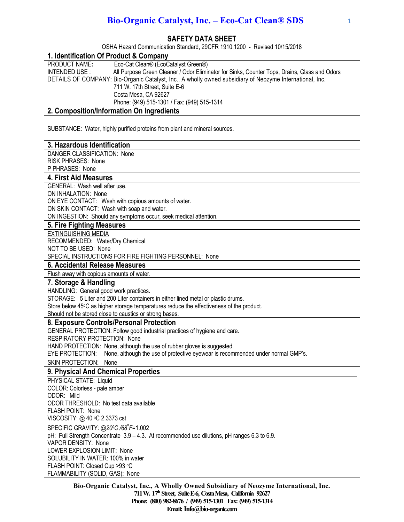| <b>SAFETY DATA SHEET</b><br>OSHA Hazard Communication Standard, 29CFR 1910.1200 - Revised 10/15/2018<br>1. Identification Of Product & Company<br>Eco-Cat Clean® (EcoCatalyst Green®)<br>PRODUCT NAME:<br>All Purpose Green Cleaner / Odor Eliminator for Sinks, Counter Tops, Drains, Glass and Odors<br>INTENDED USE:<br>DETAILS OF COMPANY: Bio-Organic Catalyst, Inc., A wholly owned subsidiary of Neozyme International, Inc.<br>711 W. 17th Street, Suite E-6<br>Costa Mesa, CA 92627<br>Phone: (949) 515-1301 / Fax: (949) 515-1314<br>2. Composition/Information On Ingredients<br>SUBSTANCE: Water, highly purified proteins from plant and mineral sources.<br>3. Hazardous Identification<br>DANGER CLASSIFICATION: None<br><b>RISK PHRASES: None</b><br>P PHRASES: None<br><b>4. First Aid Measures</b><br>GENERAL: Wash well after use.<br>ON INHALATION: None<br>ON EYE CONTACT: Wash with copious amounts of water.<br>ON SKIN CONTACT: Wash with soap and water.<br>ON INGESTION: Should any symptoms occur, seek medical attention.<br>5. Fire Fighting Measures<br><b>EXTINGUISHING MEDIA</b><br>RECOMMENDED: Water/Dry Chemical<br>NOT TO BE USED: None<br>SPECIAL INSTRUCTIONS FOR FIRE FIGHTING PERSONNEL: None<br>6. Accidental Release Measures<br>Flush away with copious amounts of water.<br>7. Storage & Handling<br>HANDLING: General good work practices.<br>STORAGE: 5 Liter and 200 Liter containers in either lined metal or plastic drums.<br>Store below 45°C as higher storage temperatures reduce the effectiveness of the product.<br>Should not be stored close to caustics or strong bases.<br>8. Exposure Controls/Personal Protection<br>GENERAL PROTECTION: Follow good industrial practices of hygiene and care.<br>RESPIRATORY PROTECTION: None<br>HAND PROTECTION: None, although the use of rubber gloves is suggested.<br>None, although the use of protective eyewear is recommended under normal GMP's.<br>EYE PROTECTION:<br>SKIN PROTECTION: None<br>9. Physical And Chemical Properties<br>PHYSICAL STATE: Liquid |
|------------------------------------------------------------------------------------------------------------------------------------------------------------------------------------------------------------------------------------------------------------------------------------------------------------------------------------------------------------------------------------------------------------------------------------------------------------------------------------------------------------------------------------------------------------------------------------------------------------------------------------------------------------------------------------------------------------------------------------------------------------------------------------------------------------------------------------------------------------------------------------------------------------------------------------------------------------------------------------------------------------------------------------------------------------------------------------------------------------------------------------------------------------------------------------------------------------------------------------------------------------------------------------------------------------------------------------------------------------------------------------------------------------------------------------------------------------------------------------------------------------------------------------------------------------------------------------------------------------------------------------------------------------------------------------------------------------------------------------------------------------------------------------------------------------------------------------------------------------------------------------------------------------------------------------------------------------------------------------------------------------------------------------------------------------------------|
|                                                                                                                                                                                                                                                                                                                                                                                                                                                                                                                                                                                                                                                                                                                                                                                                                                                                                                                                                                                                                                                                                                                                                                                                                                                                                                                                                                                                                                                                                                                                                                                                                                                                                                                                                                                                                                                                                                                                                                                                                                                                        |
|                                                                                                                                                                                                                                                                                                                                                                                                                                                                                                                                                                                                                                                                                                                                                                                                                                                                                                                                                                                                                                                                                                                                                                                                                                                                                                                                                                                                                                                                                                                                                                                                                                                                                                                                                                                                                                                                                                                                                                                                                                                                        |
|                                                                                                                                                                                                                                                                                                                                                                                                                                                                                                                                                                                                                                                                                                                                                                                                                                                                                                                                                                                                                                                                                                                                                                                                                                                                                                                                                                                                                                                                                                                                                                                                                                                                                                                                                                                                                                                                                                                                                                                                                                                                        |
|                                                                                                                                                                                                                                                                                                                                                                                                                                                                                                                                                                                                                                                                                                                                                                                                                                                                                                                                                                                                                                                                                                                                                                                                                                                                                                                                                                                                                                                                                                                                                                                                                                                                                                                                                                                                                                                                                                                                                                                                                                                                        |
|                                                                                                                                                                                                                                                                                                                                                                                                                                                                                                                                                                                                                                                                                                                                                                                                                                                                                                                                                                                                                                                                                                                                                                                                                                                                                                                                                                                                                                                                                                                                                                                                                                                                                                                                                                                                                                                                                                                                                                                                                                                                        |
|                                                                                                                                                                                                                                                                                                                                                                                                                                                                                                                                                                                                                                                                                                                                                                                                                                                                                                                                                                                                                                                                                                                                                                                                                                                                                                                                                                                                                                                                                                                                                                                                                                                                                                                                                                                                                                                                                                                                                                                                                                                                        |
|                                                                                                                                                                                                                                                                                                                                                                                                                                                                                                                                                                                                                                                                                                                                                                                                                                                                                                                                                                                                                                                                                                                                                                                                                                                                                                                                                                                                                                                                                                                                                                                                                                                                                                                                                                                                                                                                                                                                                                                                                                                                        |
|                                                                                                                                                                                                                                                                                                                                                                                                                                                                                                                                                                                                                                                                                                                                                                                                                                                                                                                                                                                                                                                                                                                                                                                                                                                                                                                                                                                                                                                                                                                                                                                                                                                                                                                                                                                                                                                                                                                                                                                                                                                                        |
|                                                                                                                                                                                                                                                                                                                                                                                                                                                                                                                                                                                                                                                                                                                                                                                                                                                                                                                                                                                                                                                                                                                                                                                                                                                                                                                                                                                                                                                                                                                                                                                                                                                                                                                                                                                                                                                                                                                                                                                                                                                                        |
|                                                                                                                                                                                                                                                                                                                                                                                                                                                                                                                                                                                                                                                                                                                                                                                                                                                                                                                                                                                                                                                                                                                                                                                                                                                                                                                                                                                                                                                                                                                                                                                                                                                                                                                                                                                                                                                                                                                                                                                                                                                                        |
|                                                                                                                                                                                                                                                                                                                                                                                                                                                                                                                                                                                                                                                                                                                                                                                                                                                                                                                                                                                                                                                                                                                                                                                                                                                                                                                                                                                                                                                                                                                                                                                                                                                                                                                                                                                                                                                                                                                                                                                                                                                                        |
|                                                                                                                                                                                                                                                                                                                                                                                                                                                                                                                                                                                                                                                                                                                                                                                                                                                                                                                                                                                                                                                                                                                                                                                                                                                                                                                                                                                                                                                                                                                                                                                                                                                                                                                                                                                                                                                                                                                                                                                                                                                                        |
|                                                                                                                                                                                                                                                                                                                                                                                                                                                                                                                                                                                                                                                                                                                                                                                                                                                                                                                                                                                                                                                                                                                                                                                                                                                                                                                                                                                                                                                                                                                                                                                                                                                                                                                                                                                                                                                                                                                                                                                                                                                                        |
|                                                                                                                                                                                                                                                                                                                                                                                                                                                                                                                                                                                                                                                                                                                                                                                                                                                                                                                                                                                                                                                                                                                                                                                                                                                                                                                                                                                                                                                                                                                                                                                                                                                                                                                                                                                                                                                                                                                                                                                                                                                                        |
|                                                                                                                                                                                                                                                                                                                                                                                                                                                                                                                                                                                                                                                                                                                                                                                                                                                                                                                                                                                                                                                                                                                                                                                                                                                                                                                                                                                                                                                                                                                                                                                                                                                                                                                                                                                                                                                                                                                                                                                                                                                                        |
|                                                                                                                                                                                                                                                                                                                                                                                                                                                                                                                                                                                                                                                                                                                                                                                                                                                                                                                                                                                                                                                                                                                                                                                                                                                                                                                                                                                                                                                                                                                                                                                                                                                                                                                                                                                                                                                                                                                                                                                                                                                                        |
|                                                                                                                                                                                                                                                                                                                                                                                                                                                                                                                                                                                                                                                                                                                                                                                                                                                                                                                                                                                                                                                                                                                                                                                                                                                                                                                                                                                                                                                                                                                                                                                                                                                                                                                                                                                                                                                                                                                                                                                                                                                                        |
|                                                                                                                                                                                                                                                                                                                                                                                                                                                                                                                                                                                                                                                                                                                                                                                                                                                                                                                                                                                                                                                                                                                                                                                                                                                                                                                                                                                                                                                                                                                                                                                                                                                                                                                                                                                                                                                                                                                                                                                                                                                                        |
|                                                                                                                                                                                                                                                                                                                                                                                                                                                                                                                                                                                                                                                                                                                                                                                                                                                                                                                                                                                                                                                                                                                                                                                                                                                                                                                                                                                                                                                                                                                                                                                                                                                                                                                                                                                                                                                                                                                                                                                                                                                                        |
|                                                                                                                                                                                                                                                                                                                                                                                                                                                                                                                                                                                                                                                                                                                                                                                                                                                                                                                                                                                                                                                                                                                                                                                                                                                                                                                                                                                                                                                                                                                                                                                                                                                                                                                                                                                                                                                                                                                                                                                                                                                                        |
|                                                                                                                                                                                                                                                                                                                                                                                                                                                                                                                                                                                                                                                                                                                                                                                                                                                                                                                                                                                                                                                                                                                                                                                                                                                                                                                                                                                                                                                                                                                                                                                                                                                                                                                                                                                                                                                                                                                                                                                                                                                                        |
|                                                                                                                                                                                                                                                                                                                                                                                                                                                                                                                                                                                                                                                                                                                                                                                                                                                                                                                                                                                                                                                                                                                                                                                                                                                                                                                                                                                                                                                                                                                                                                                                                                                                                                                                                                                                                                                                                                                                                                                                                                                                        |
|                                                                                                                                                                                                                                                                                                                                                                                                                                                                                                                                                                                                                                                                                                                                                                                                                                                                                                                                                                                                                                                                                                                                                                                                                                                                                                                                                                                                                                                                                                                                                                                                                                                                                                                                                                                                                                                                                                                                                                                                                                                                        |
|                                                                                                                                                                                                                                                                                                                                                                                                                                                                                                                                                                                                                                                                                                                                                                                                                                                                                                                                                                                                                                                                                                                                                                                                                                                                                                                                                                                                                                                                                                                                                                                                                                                                                                                                                                                                                                                                                                                                                                                                                                                                        |
|                                                                                                                                                                                                                                                                                                                                                                                                                                                                                                                                                                                                                                                                                                                                                                                                                                                                                                                                                                                                                                                                                                                                                                                                                                                                                                                                                                                                                                                                                                                                                                                                                                                                                                                                                                                                                                                                                                                                                                                                                                                                        |
|                                                                                                                                                                                                                                                                                                                                                                                                                                                                                                                                                                                                                                                                                                                                                                                                                                                                                                                                                                                                                                                                                                                                                                                                                                                                                                                                                                                                                                                                                                                                                                                                                                                                                                                                                                                                                                                                                                                                                                                                                                                                        |
|                                                                                                                                                                                                                                                                                                                                                                                                                                                                                                                                                                                                                                                                                                                                                                                                                                                                                                                                                                                                                                                                                                                                                                                                                                                                                                                                                                                                                                                                                                                                                                                                                                                                                                                                                                                                                                                                                                                                                                                                                                                                        |
|                                                                                                                                                                                                                                                                                                                                                                                                                                                                                                                                                                                                                                                                                                                                                                                                                                                                                                                                                                                                                                                                                                                                                                                                                                                                                                                                                                                                                                                                                                                                                                                                                                                                                                                                                                                                                                                                                                                                                                                                                                                                        |
|                                                                                                                                                                                                                                                                                                                                                                                                                                                                                                                                                                                                                                                                                                                                                                                                                                                                                                                                                                                                                                                                                                                                                                                                                                                                                                                                                                                                                                                                                                                                                                                                                                                                                                                                                                                                                                                                                                                                                                                                                                                                        |
|                                                                                                                                                                                                                                                                                                                                                                                                                                                                                                                                                                                                                                                                                                                                                                                                                                                                                                                                                                                                                                                                                                                                                                                                                                                                                                                                                                                                                                                                                                                                                                                                                                                                                                                                                                                                                                                                                                                                                                                                                                                                        |
|                                                                                                                                                                                                                                                                                                                                                                                                                                                                                                                                                                                                                                                                                                                                                                                                                                                                                                                                                                                                                                                                                                                                                                                                                                                                                                                                                                                                                                                                                                                                                                                                                                                                                                                                                                                                                                                                                                                                                                                                                                                                        |
|                                                                                                                                                                                                                                                                                                                                                                                                                                                                                                                                                                                                                                                                                                                                                                                                                                                                                                                                                                                                                                                                                                                                                                                                                                                                                                                                                                                                                                                                                                                                                                                                                                                                                                                                                                                                                                                                                                                                                                                                                                                                        |
|                                                                                                                                                                                                                                                                                                                                                                                                                                                                                                                                                                                                                                                                                                                                                                                                                                                                                                                                                                                                                                                                                                                                                                                                                                                                                                                                                                                                                                                                                                                                                                                                                                                                                                                                                                                                                                                                                                                                                                                                                                                                        |
|                                                                                                                                                                                                                                                                                                                                                                                                                                                                                                                                                                                                                                                                                                                                                                                                                                                                                                                                                                                                                                                                                                                                                                                                                                                                                                                                                                                                                                                                                                                                                                                                                                                                                                                                                                                                                                                                                                                                                                                                                                                                        |
|                                                                                                                                                                                                                                                                                                                                                                                                                                                                                                                                                                                                                                                                                                                                                                                                                                                                                                                                                                                                                                                                                                                                                                                                                                                                                                                                                                                                                                                                                                                                                                                                                                                                                                                                                                                                                                                                                                                                                                                                                                                                        |
|                                                                                                                                                                                                                                                                                                                                                                                                                                                                                                                                                                                                                                                                                                                                                                                                                                                                                                                                                                                                                                                                                                                                                                                                                                                                                                                                                                                                                                                                                                                                                                                                                                                                                                                                                                                                                                                                                                                                                                                                                                                                        |
|                                                                                                                                                                                                                                                                                                                                                                                                                                                                                                                                                                                                                                                                                                                                                                                                                                                                                                                                                                                                                                                                                                                                                                                                                                                                                                                                                                                                                                                                                                                                                                                                                                                                                                                                                                                                                                                                                                                                                                                                                                                                        |
|                                                                                                                                                                                                                                                                                                                                                                                                                                                                                                                                                                                                                                                                                                                                                                                                                                                                                                                                                                                                                                                                                                                                                                                                                                                                                                                                                                                                                                                                                                                                                                                                                                                                                                                                                                                                                                                                                                                                                                                                                                                                        |
|                                                                                                                                                                                                                                                                                                                                                                                                                                                                                                                                                                                                                                                                                                                                                                                                                                                                                                                                                                                                                                                                                                                                                                                                                                                                                                                                                                                                                                                                                                                                                                                                                                                                                                                                                                                                                                                                                                                                                                                                                                                                        |
|                                                                                                                                                                                                                                                                                                                                                                                                                                                                                                                                                                                                                                                                                                                                                                                                                                                                                                                                                                                                                                                                                                                                                                                                                                                                                                                                                                                                                                                                                                                                                                                                                                                                                                                                                                                                                                                                                                                                                                                                                                                                        |
|                                                                                                                                                                                                                                                                                                                                                                                                                                                                                                                                                                                                                                                                                                                                                                                                                                                                                                                                                                                                                                                                                                                                                                                                                                                                                                                                                                                                                                                                                                                                                                                                                                                                                                                                                                                                                                                                                                                                                                                                                                                                        |
| COLOR: Colorless - pale amber                                                                                                                                                                                                                                                                                                                                                                                                                                                                                                                                                                                                                                                                                                                                                                                                                                                                                                                                                                                                                                                                                                                                                                                                                                                                                                                                                                                                                                                                                                                                                                                                                                                                                                                                                                                                                                                                                                                                                                                                                                          |
| ODOR: Mild                                                                                                                                                                                                                                                                                                                                                                                                                                                                                                                                                                                                                                                                                                                                                                                                                                                                                                                                                                                                                                                                                                                                                                                                                                                                                                                                                                                                                                                                                                                                                                                                                                                                                                                                                                                                                                                                                                                                                                                                                                                             |
| ODOR THRESHOLD: No test data available                                                                                                                                                                                                                                                                                                                                                                                                                                                                                                                                                                                                                                                                                                                                                                                                                                                                                                                                                                                                                                                                                                                                                                                                                                                                                                                                                                                                                                                                                                                                                                                                                                                                                                                                                                                                                                                                                                                                                                                                                                 |
| <b>FLASH POINT: None</b>                                                                                                                                                                                                                                                                                                                                                                                                                                                                                                                                                                                                                                                                                                                                                                                                                                                                                                                                                                                                                                                                                                                                                                                                                                                                                                                                                                                                                                                                                                                                                                                                                                                                                                                                                                                                                                                                                                                                                                                                                                               |
| VISCOSITY: @ 40 °C 2.3373 cst                                                                                                                                                                                                                                                                                                                                                                                                                                                                                                                                                                                                                                                                                                                                                                                                                                                                                                                                                                                                                                                                                                                                                                                                                                                                                                                                                                                                                                                                                                                                                                                                                                                                                                                                                                                                                                                                                                                                                                                                                                          |
| SPECIFIC GRAVITY: @20°C /68°F=1.002                                                                                                                                                                                                                                                                                                                                                                                                                                                                                                                                                                                                                                                                                                                                                                                                                                                                                                                                                                                                                                                                                                                                                                                                                                                                                                                                                                                                                                                                                                                                                                                                                                                                                                                                                                                                                                                                                                                                                                                                                                    |
| pH: Full Strength Concentrate 3.9 - 4.3. At recommended use dilutions, pH ranges 6.3 to 6.9.                                                                                                                                                                                                                                                                                                                                                                                                                                                                                                                                                                                                                                                                                                                                                                                                                                                                                                                                                                                                                                                                                                                                                                                                                                                                                                                                                                                                                                                                                                                                                                                                                                                                                                                                                                                                                                                                                                                                                                           |
| VAPOR DENSITY: None                                                                                                                                                                                                                                                                                                                                                                                                                                                                                                                                                                                                                                                                                                                                                                                                                                                                                                                                                                                                                                                                                                                                                                                                                                                                                                                                                                                                                                                                                                                                                                                                                                                                                                                                                                                                                                                                                                                                                                                                                                                    |
| LOWER EXPLOSION LIMIT: None                                                                                                                                                                                                                                                                                                                                                                                                                                                                                                                                                                                                                                                                                                                                                                                                                                                                                                                                                                                                                                                                                                                                                                                                                                                                                                                                                                                                                                                                                                                                                                                                                                                                                                                                                                                                                                                                                                                                                                                                                                            |
| SOLUBILITY IN WATER: 100% in water                                                                                                                                                                                                                                                                                                                                                                                                                                                                                                                                                                                                                                                                                                                                                                                                                                                                                                                                                                                                                                                                                                                                                                                                                                                                                                                                                                                                                                                                                                                                                                                                                                                                                                                                                                                                                                                                                                                                                                                                                                     |
| FLASH POINT: Closed Cup >93 °C                                                                                                                                                                                                                                                                                                                                                                                                                                                                                                                                                                                                                                                                                                                                                                                                                                                                                                                                                                                                                                                                                                                                                                                                                                                                                                                                                                                                                                                                                                                                                                                                                                                                                                                                                                                                                                                                                                                                                                                                                                         |
| FLAMMABILITY (SOLID, GAS): None                                                                                                                                                                                                                                                                                                                                                                                                                                                                                                                                                                                                                                                                                                                                                                                                                                                                                                                                                                                                                                                                                                                                                                                                                                                                                                                                                                                                                                                                                                                                                                                                                                                                                                                                                                                                                                                                                                                                                                                                                                        |

**Bio-Organic Catalyst, Inc., A Wholly Owned Subsidiary of Neozyme International, Inc. 711 W. 17th Street, Suite E-6, Costa Mesa, California 92627 Phone: (800) 982-8676 / (949) 515-1301 Fax: (949) 515-1314** Email: Info@bio-organic.com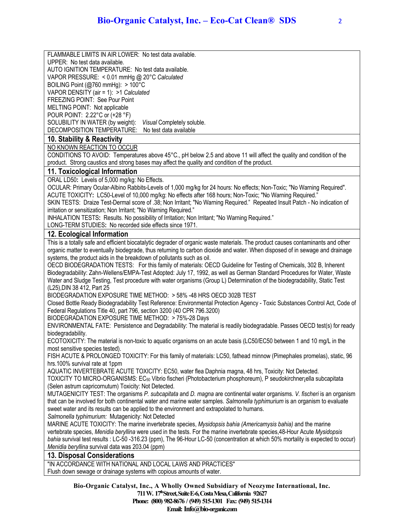FLAMMABLE LIMITS IN AIR LOWER: No test data available.

UPPER: No test data available.

AUTO IGNITION TEMPERATURE: No test data available.

VAPOR PRESSURE: < 0.01 mmHg @ 20°C *Calculated*

BOILING Point (@760 mmHg): > 100°C

VAPOR DENSITY (air = 1): >1 *Calculated*

FREEZING POINT: See Pour Point

MELTING POINT: Not applicable POUR POINT: 2.22°C or (+28 °F)

SOLUBILITY IN WATER (by weight): *Visual* Completely soluble.

DECOMPOSITION TEMPERATURE: No test data available

## **10. Stability & Reactivity**

NO KNOWN REACTION TO OCCUR

CONDITIONS TO AVOID: Temperatures above 45°C., pH below 2.5 and above 11 will affect the quality and condition of the product. Strong caustics and strong bases may affect the quality and condition of the product.

## **11. Toxicological Information**

ORAL LD50**:** Levels of 5,000 mg/kg: No Effects.

OCULAR: Primary Ocular-Albino Rabbits-Levels of 1,000 mg/kg for 24 hours: No effects; Non-Toxic; "No Warning Required". ACUTE TOXICITY**:** LC50-Level of 10,000 mg/kg: No effects after 168 hours; Non-Toxic; "No Warning Required."

SKIN TESTS: Draize Test-Dermal score of .38; Non Irritant; "No Warning Required." Repeated Insult Patch - No indication of irritation or sensitization; Non Irritant; "No Warning Required."

INHALATION TESTS**:** Results. No possibility of Irritation; Non Irritant; "No Warning Required."

LONG-TERM STUDIES**:** No recorded side effects since 1971.

## **12. Ecological Information**

This is a totally safe and efficient biocatalytic degrader of organic waste materials. The product causes contaminants and other organic matter to eventually biodegrade, thus returning to carbon dioxide and water. When disposed of in sewage and drainage systems, the product aids in the breakdown of pollutants such as oil.

OECD BIODEGRADATION TESTS: For this family of materials: OECD Guideline for Testing of Chemicals, 302 B, Inherent Biodegradability: Zahn-Wellens/EMPA-Test Adopted: July 17, 1992, as well as German Standard Procedures for Water, Waste Water and Sludge Testing, Test procedure with water organisms (Group L) Determination of the biodegradability, Static Test (L25),DIN 38 412, Part 25

BIODEGRADATION EXPOSURE TIME METHOD: > 58% -48 HRS OECD 302B TEST

Closed Bottle Ready Biodegradability Test Reference: Environmental Protection Agency - Toxic Substances Control Act, Code of Federal Regulations Title 40, part 796, section 3200 (40 CPR 796.3200)

BIODEGRADATION EXPOSURE TIME METHOD: > 75%-28 Days

ENVIRONMENTAL FATE: Persistence and Degradability: The material is readily biodegradable. Passes OECD test(s) for ready biodegradability.

ECOTOXICITY: The material is non-toxic to aquatic organisms on an acute basis (LC50/EC50 between 1 and 10 mg/L in the most sensitive species tested).

FISH ACUTE & PROLONGED TOXICITY: For this family of materials: LC50, fathead minnow (Pimephales promelas), static, 96 hrs.100% survival rate at 1ppm

AQUATIC INVERTEBRATE ACUTE TOXICITY: EC50, water flea Daphnia magna, 48 hrs, Toxicity: Not Detected.

TOXICITY TO MICRO-ORGANISMS: EC50 Vibrio fischeri (Photobacterium phosphoreum), P seudokirchner¡ella subcapitata (Selen astrum capricornutum) Toxicity: Not Detected.

MUTAGENICITY TEST: The organisms *P. subcapitata* and *D. magna* are continental water organisms. *V. fischeri* is an organism that can be involved for both continental water and marine water samples. *Salmonella typhimurium* is an organism to evaluate sweet water and its results can be applied to the environment and extrapolated to humans.

*Salmonella typhimurium:* Mutagenicity: Not Detected

MARINE ACUTE TOXICITY: The marine invertebrate species, *Mysidopsis bahia (Americamysis bahia)* and the marine vertebrate species, *Menidia beryllina* were used in the tests. For the marine invertebrate species,48-Hour Acute *Mysidopsis bahia* survival test results : LC-50 -316.23 (ppm), The 96-Hour LC-50 (concentration at which 50% mortality is expected to occur) *Menidia beryllina* survival data was 203.04 (ppm)

## **13. Disposal Considerations**

"IN ACCORDANCE WITH NATIONAL AND LOCAL LAWS AND PRACTICES" Flush down sewage or drainage systems with copious amounts of water.

> **Bio-Organic Catalyst, Inc., A Wholly Owned Subsidiary of Neozyme International, Inc. 711 W. 17th Street, Suite E-6, Costa Mesa, California 92627 Phone: (800) 982-8676 / (949) 515-1301 Fax: (949) 515-1314 Email:Info@bio-organic.com**